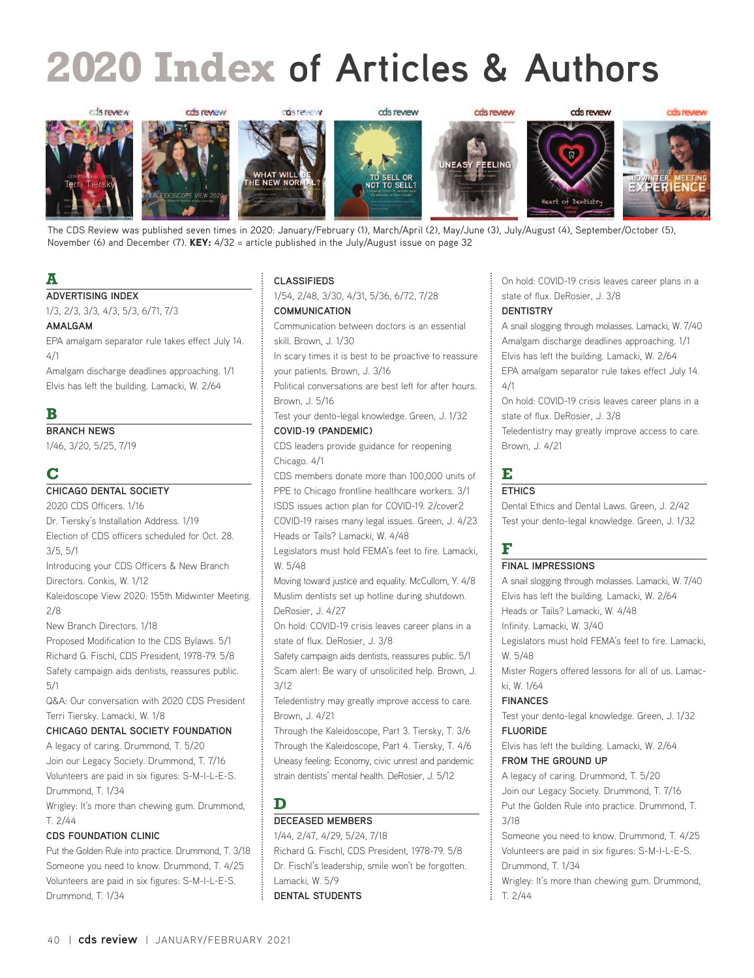# **2020 Index of Articles & Authors**



The CDS Review was published seven times in 2020: January/February (1), March/April (2), May/June (3), July/August (4), September/October (5), November (6) and December (7). KEY:  $4/32$  = article published in the July/August issue on page 32

# **A**

#### **ADVERTISING INDEX**

1/3, 2/3, 3/3, 4/3, 5/3, 6/71, 7/3

#### **AMALGAM**

EPA amalgam separator rule takes effect July 14. 4/1

Amalgam discharge deadlines approaching. 1/1 Elvis has left the building. Lamacki, W. 2/64

# **B**

**BRANCH NEWS**

1/46, 3/20, 5/25, 7/19

# **C**

5/1

## **CHICAGO DENTAL SOCIETY**

2020 CDS Officers. 1/16 Dr. Tiersky's Installation Address. 1/19 Election of CDS officers scheduled for Oct. 28. 3/5, 5/1 Introducing your CDS Officers & New Branch Directors. Conkis, W. 1/12 Kaleidoscope View 2020: 155th Midwinter Meeting. 2/8 New Branch Directors. 1/18 Proposed Modification to the CDS Bylaws. 5/1 Richard G. Fischl, CDS President, 1978-79. 5/8 Safety campaign aids dentists, reassures public.

Q&A: Our conversation with 2020 CDS President Terri Tiersky. Lamacki, W. 1/8

#### **CHICAGO DENTAL SOCIETY FOUNDATION**

A legacy of caring. Drummond, T. 5/20 Join our Legacy Society. Drummond, T. 7/16 Volunteers are paid in six figures: S-M-I-L-E-S. Drummond, T. 1/34

Wrigley: It's more than chewing gum. Drummond, T. 2/44

#### **CDS FOUNDATION CLINIC**

Put the Golden Rule into practice. Drummond, T. 3/18 Someone you need to know. Drummond, T. 4/25 Volunteers are paid in six figures: S-M-I-L-E-S. Drummond, T. 1/34

#### **CLASSIFIEDS**

1/54, 2/48, 3/30, 4/31, 5/36, 6/72, 7/28 **COMMUNICATION**

Communication between doctors is an essential skill. Brown, J. 1/30

In scary times it is best to be proactive to reassure your patients. Brown, J. 3/16

Political conversations are best left for after hours. Brown, J. 5/16

Test your dento-legal knowledge. Green, J. 1/32 **COVID-19 (PANDEMIC)**

CDS leaders provide guidance for reopening Chicago. 4/1

CDS members donate more than 100,000 units of PPE to Chicago frontline healthcare workers. 3/1 ISDS issues action plan for COVID-19. 2/cover2 COVID-19 raises many legal issues. Green, J. 4/23 Heads or Tails? Lamacki, W. 4/48

Legislators must hold FEMA's feet to fire. Lamacki, W. 5/48

Moving toward justice and equality. McCullom, Y. 4/8 Muslim dentists set up hotline during shutdown. DeRosier, J. 4/27

On hold: COVID-19 crisis leaves career plans in a state of flux. DeRosier, J. 3/8

Safety campaign aids dentists, reassures public. 5/1 Scam alert: Be wary of unsolicited help. Brown, J. 3/12

Teledentistry may greatly improve access to care. Brown, J. 4/21

Through the Kaleidoscope, Part 3. Tiersky, T. 3/6 Through the Kaleidoscope, Part 4. Tiersky, T. 4/6 Uneasy feeling: Economy, civic unrest and pandemic strain dentists' mental health. DeRosier, J. 5/12

**D**

#### **DECEASED MEMBERS**

1/44, 2/47, 4/29, 5/24, 7/18 Richard G. Fischl, CDS President, 1978-79. 5/8 Dr. Fischl's leadership, smile won't be forgotten. Lamacki, W. 5/9 **DENTAL STUDENTS**

On hold: COVID-19 crisis leaves career plans in a state of flux. DeRosier, J. 3/8

#### **DENTISTRY**

A snail slogging through molasses. Lamacki, W. 7/40 Amalgam discharge deadlines approaching. 1/1 Elvis has left the building. Lamacki, W. 2/64 EPA amalgam separator rule takes effect July 14. 4/1

On hold: COVID-19 crisis leaves career plans in a state of flux. DeRosier, J. 3/8

Teledentistry may greatly improve access to care. Brown, J. 4/21

# **E**

## **ETHICS**

Dental Ethics and Dental Laws. Green, J. 2/42 Test your dento-legal knowledge. Green, J. 1/32

# **F**

#### **FINAL IMPRESSIONS**

A snail slogging through molasses. Lamacki, W. 7/40 Elvis has left the building. Lamacki, W. 2/64 Heads or Tails? Lamacki, W. 4/48 Infinity. Lamacki, W. 3/40 Legislators must hold FEMA's feet to fire. Lamacki, W. 5/48 Mister Rogers offered lessons for all of us. Lamacki, W. 1/64 **FINANCES** Test your dento-legal knowledge. Green, J. 1/32 **FLUORIDE**

Elvis has left the building. Lamacki, W. 2/64 **FROM THE GROUND UP**

A legacy of caring. Drummond, T. 5/20 Join our Legacy Society. Drummond, T. 7/16 Put the Golden Rule into practice. Drummond, T. 3/18

Someone you need to know. Drummond, T. 4/25 Volunteers are paid in six figures: S-M-I-L-E-S. Drummond, T. 1/34

Wrigley: It's more than chewing gum. Drummond, T. 2/44